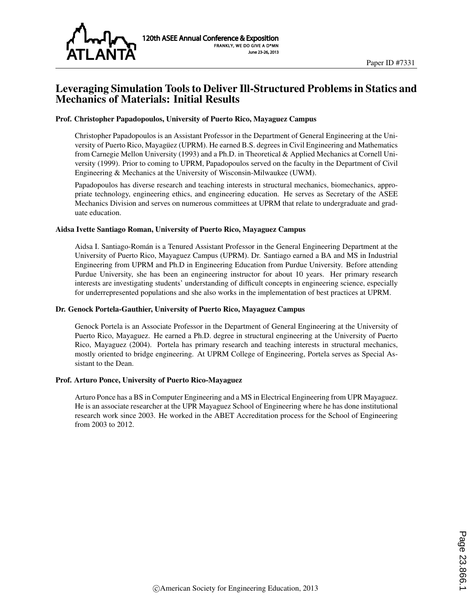

## Leveraging Simulation Tools to Deliver Ill-Structured Problems in Statics and Mechanics of Materials: Initial Results

#### Prof. Christopher Papadopoulos, University of Puerto Rico, Mayaguez Campus

Christopher Papadopoulos is an Assistant Professor in the Department of General Engineering at the University of Puerto Rico, Mayaguez (UPRM). He earned B.S. degrees in Civil Engineering and Mathematics ¨ from Carnegie Mellon University (1993) and a Ph.D. in Theoretical & Applied Mechanics at Cornell University (1999). Prior to coming to UPRM, Papadopoulos served on the faculty in the Department of Civil Engineering & Mechanics at the University of Wisconsin-Milwaukee (UWM).

Papadopoulos has diverse research and teaching interests in structural mechanics, biomechanics, appropriate technology, engineering ethics, and engineering education. He serves as Secretary of the ASEE Mechanics Division and serves on numerous committees at UPRM that relate to undergraduate and graduate education.

#### Aidsa Ivette Santiago Roman, University of Puerto Rico, Mayaguez Campus

Aidsa I. Santiago-Roman is a Tenured Assistant Professor in the General Engineering Department at the ´ University of Puerto Rico, Mayaguez Campus (UPRM). Dr. Santiago earned a BA and MS in Industrial Engineering from UPRM and Ph.D in Engineering Education from Purdue University. Before attending Purdue University, she has been an engineering instructor for about 10 years. Her primary research interests are investigating students' understanding of difficult concepts in engineering science, especially for underrepresented populations and she also works in the implementation of best practices at UPRM.

#### Dr. Genock Portela-Gauthier, University of Puerto Rico, Mayaguez Campus

Genock Portela is an Associate Professor in the Department of General Engineering at the University of Puerto Rico, Mayaguez. He earned a Ph.D. degree in structural engineering at the University of Puerto Rico, Mayaguez (2004). Portela has primary research and teaching interests in structural mechanics, mostly oriented to bridge engineering. At UPRM College of Engineering, Portela serves as Special Assistant to the Dean.

#### Prof. Arturo Ponce, University of Puerto Rico-Mayaguez

Arturo Ponce has a BS in Computer Engineering and a MS in Electrical Engineering from UPR Mayaguez. He is an associate researcher at the UPR Mayaguez School of Engineering where he has done institutional research work since 2003. He worked in the ABET Accreditation process for the School of Engineering from 2003 to 2012.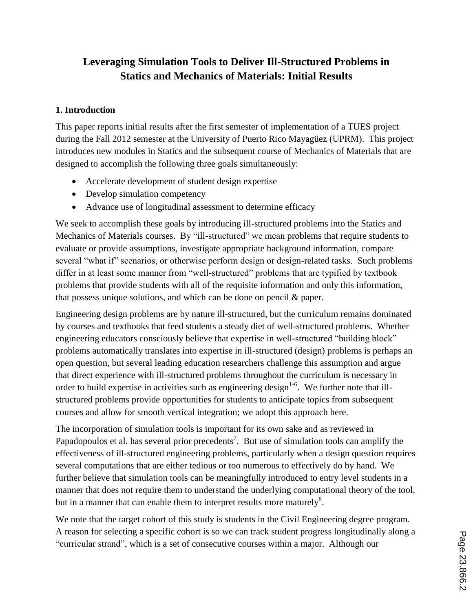# **Leveraging Simulation Tools to Deliver Ill-Structured Problems in Statics and Mechanics of Materials: Initial Results**

### **1. Introduction**

This paper reports initial results after the first semester of implementation of a TUES project during the Fall 2012 semester at the University of Puerto Rico Mayagüez (UPRM). This project introduces new modules in Statics and the subsequent course of Mechanics of Materials that are designed to accomplish the following three goals simultaneously:

- Accelerate development of student design expertise
- Develop simulation competency
- Advance use of longitudinal assessment to determine efficacy

We seek to accomplish these goals by introducing ill-structured problems into the Statics and Mechanics of Materials courses. By "ill-structured" we mean problems that require students to evaluate or provide assumptions, investigate appropriate background information, compare several "what if" scenarios, or otherwise perform design or design-related tasks. Such problems differ in at least some manner from "well-structured" problems that are typified by textbook problems that provide students with all of the requisite information and only this information, that possess unique solutions, and which can be done on pencil & paper.

Engineering design problems are by nature ill-structured, but the curriculum remains dominated by courses and textbooks that feed students a steady diet of well-structured problems. Whether engineering educators consciously believe that expertise in well-structured "building block" problems automatically translates into expertise in ill-structured (design) problems is perhaps an open question, but several leading education researchers challenge this assumption and argue that direct experience with ill-structured problems throughout the curriculum is necessary in order to build expertise in activities such as engineering design<sup>1-6</sup>. We further note that illstructured problems provide opportunities for students to anticipate topics from subsequent courses and allow for smooth vertical integration; we adopt this approach here.

The incorporation of simulation tools is important for its own sake and as reviewed in Papadopoulos et al. has several prior precedents<sup>7</sup>. But use of simulation tools can amplify the effectiveness of ill-structured engineering problems, particularly when a design question requires several computations that are either tedious or too numerous to effectively do by hand. We further believe that simulation tools can be meaningfully introduced to entry level students in a manner that does not require them to understand the underlying computational theory of the tool, but in a manner that can enable them to interpret results more maturely<sup>8</sup>.

We note that the target cohort of this study is students in the Civil Engineering degree program. A reason for selecting a specific cohort is so we can track student progress longitudinally along a "curricular strand", which is a set of consecutive courses within a major. Although our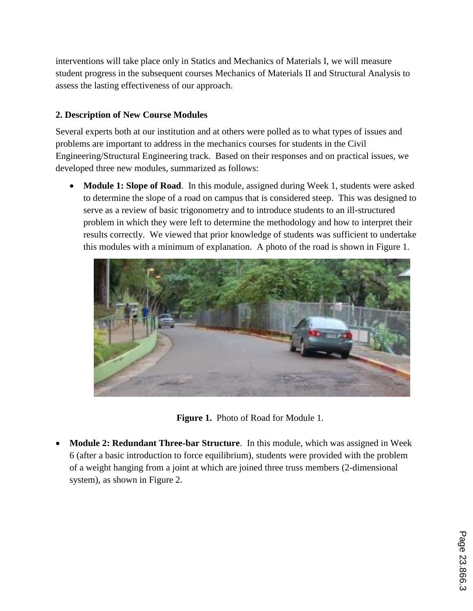interventions will take place only in Statics and Mechanics of Materials I, we will measure student progress in the subsequent courses Mechanics of Materials II and Structural Analysis to assess the lasting effectiveness of our approach.

# **2. Description of New Course Modules**

Several experts both at our institution and at others were polled as to what types of issues and problems are important to address in the mechanics courses for students in the Civil Engineering/Structural Engineering track. Based on their responses and on practical issues, we developed three new modules, summarized as follows:

**Module 1: Slope of Road.** In this module, assigned during Week 1, students were asked to determine the slope of a road on campus that is considered steep. This was designed to serve as a review of basic trigonometry and to introduce students to an ill-structured problem in which they were left to determine the methodology and how to interpret their results correctly. We viewed that prior knowledge of students was sufficient to undertake this modules with a minimum of explanation. A photo of the road is shown in Figure 1.





 **Module 2: Redundant Three-bar Structure**. In this module, which was assigned in Week 6 (after a basic introduction to force equilibrium), students were provided with the problem of a weight hanging from a joint at which are joined three truss members (2-dimensional system), as shown in Figure 2.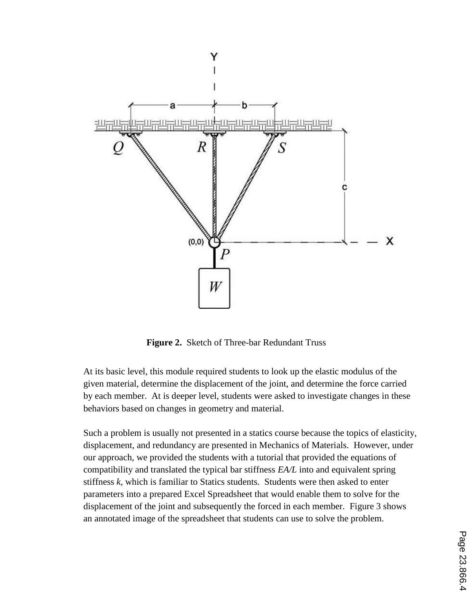

**Figure 2.** Sketch of Three-bar Redundant Truss

At its basic level, this module required students to look up the elastic modulus of the given material, determine the displacement of the joint, and determine the force carried by each member. At is deeper level, students were asked to investigate changes in these behaviors based on changes in geometry and material.

Such a problem is usually not presented in a statics course because the topics of elasticity, displacement, and redundancy are presented in Mechanics of Materials. However, under our approach, we provided the students with a tutorial that provided the equations of compatibility and translated the typical bar stiffness *EA/L* into and equivalent spring stiffness *k*, which is familiar to Statics students. Students were then asked to enter parameters into a prepared Excel Spreadsheet that would enable them to solve for the displacement of the joint and subsequently the forced in each member. Figure 3 shows an annotated image of the spreadsheet that students can use to solve the problem.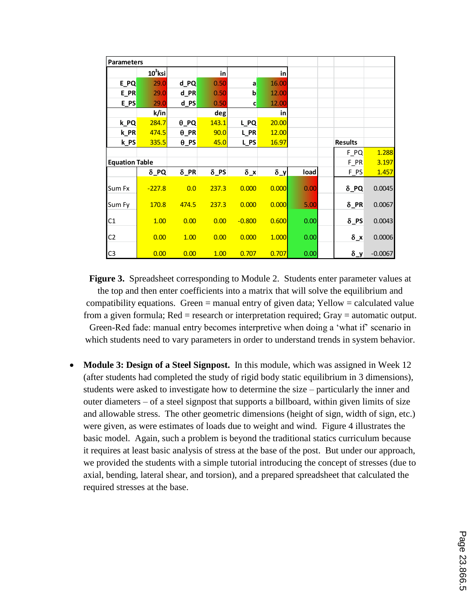| <b>Parameters</b>     |             |              |             |              |            |             |                |           |
|-----------------------|-------------|--------------|-------------|--------------|------------|-------------|----------------|-----------|
|                       | $10^3$ ksi  |              | in          |              | in         |             |                |           |
| E_PQ                  | 29.0        | d_PQ         | 0.50        | a            | 16.00      |             |                |           |
| E_PR                  | 29.0        | d_PR         | 0.50        | b            | 12.00      |             |                |           |
| $E_PS$                | 29.0        | d_PS         | 0.50        | c            | 12.00      |             |                |           |
|                       | k/in        |              | deg         |              | in         |             |                |           |
| k_PQ                  | 284.7       | $\theta$ PQ  | 143.1       | L_PQ         | 20.00      |             |                |           |
| $k$ PR                | 474.5       | $\theta$ _PR | 90.0        | L_PR         | 12.00      |             |                |           |
| k PS                  | 335.5       | $\theta$ PS  | 45.0        | L_PS         | 16.97      |             | <b>Results</b> |           |
|                       |             |              |             |              |            |             | $F_PQ$         | 1.288     |
| <b>Equation Table</b> |             |              |             |              |            |             | F PR           | 3.197     |
|                       | $\delta$ PQ | $\delta$ PR  | $\delta$ PS | $\delta_{x}$ | $\delta_y$ | <b>load</b> | $F_P$ S        | 1.457     |
| Sum Fx                | $-227.8$    | 0.0          | 237.3       | 0.000        | 0.000      | 0.00        | $\delta$ PQ    | 0.0045    |
| Sum Fy                | 170.8       | 474.5        | 237.3       | 0.000        | 0.000      | 5.00        | $\delta$ PR    | 0.0067    |
| C1                    | 1.00        | 0.00         | 0.00        | $-0.800$     | 0.600      | 0.00        | $\delta$ PS    | 0.0043    |
| C <sub>2</sub>        | 0.00        | 1.00         | 0.00        | 0.000        | 1.000      | 0.00        | $\delta_{x}$   | 0.0006    |
| C <sub>3</sub>        | 0.00        | 0.00         | 1.00        | 0.707        | 0.707      | 0.00        | $\delta_y$     | $-0.0067$ |

**Figure 3.** Spreadsheet corresponding to Module 2. Students enter parameter values at the top and then enter coefficients into a matrix that will solve the equilibrium and compatibility equations. Green  $=$  manual entry of given data; Yellow  $=$  calculated value from a given formula; Red = research or interpretation required; Gray = automatic output. Green-Red fade: manual entry becomes interpretive when doing a 'what if' scenario in which students need to vary parameters in order to understand trends in system behavior.

• Module 3: Design of a Steel Signpost. In this module, which was assigned in Week 12 (after students had completed the study of rigid body static equilibrium in 3 dimensions), students were asked to investigate how to determine the size – particularly the inner and outer diameters – of a steel signpost that supports a billboard, within given limits of size and allowable stress. The other geometric dimensions (height of sign, width of sign, etc.) were given, as were estimates of loads due to weight and wind. Figure 4 illustrates the basic model. Again, such a problem is beyond the traditional statics curriculum because it requires at least basic analysis of stress at the base of the post. But under our approach, we provided the students with a simple tutorial introducing the concept of stresses (due to axial, bending, lateral shear, and torsion), and a prepared spreadsheet that calculated the required stresses at the base.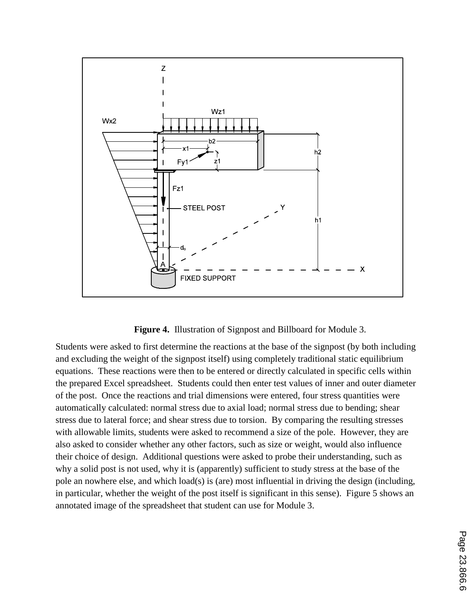

**Figure 4.** Illustration of Signpost and Billboard for Module 3.

Students were asked to first determine the reactions at the base of the signpost (by both including and excluding the weight of the signpost itself) using completely traditional static equilibrium equations. These reactions were then to be entered or directly calculated in specific cells within the prepared Excel spreadsheet. Students could then enter test values of inner and outer diameter of the post. Once the reactions and trial dimensions were entered, four stress quantities were automatically calculated: normal stress due to axial load; normal stress due to bending; shear stress due to lateral force; and shear stress due to torsion. By comparing the resulting stresses with allowable limits, students were asked to recommend a size of the pole. However, they are also asked to consider whether any other factors, such as size or weight, would also influence their choice of design. Additional questions were asked to probe their understanding, such as why a solid post is not used, why it is (apparently) sufficient to study stress at the base of the pole an nowhere else, and which load(s) is (are) most influential in driving the design (including, in particular, whether the weight of the post itself is significant in this sense). Figure 5 shows an annotated image of the spreadsheet that student can use for Module 3.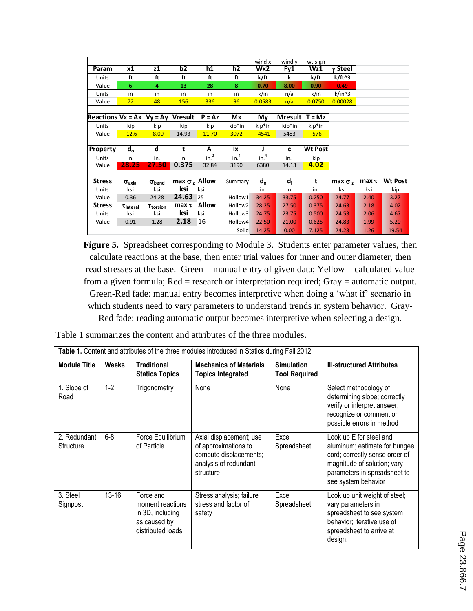|                                  |                           |                     |                      |                  |                     | wind x           | wind y         | wt sign        |                |            |                |
|----------------------------------|---------------------------|---------------------|----------------------|------------------|---------------------|------------------|----------------|----------------|----------------|------------|----------------|
| Param                            | x1                        | z1                  | b2                   | h1               | h2                  | Wx2              | Fy1            | Wz1            | $\gamma$ Steel |            |                |
| Units                            | ft                        | ft                  | ft                   | ft               | ft                  | k/ft             | k              | k/ft           | k/ft^3         |            |                |
| Value                            | 6                         | 4                   | 13                   | 28               | 8                   | 0.70             | 8.00           | 0.90           | 0.49           |            |                |
| <b>Units</b>                     | in                        | in                  | in                   | in               | in                  | k/in             | n/a            | k/in           | $k/in^3$       |            |                |
| Value                            | 72                        | 48                  | 156                  | 336              | 96                  | 0.0583           | n/a            | 0.0750         | 0.00028        |            |                |
|                                  |                           |                     |                      |                  |                     |                  |                |                |                |            |                |
| Reactions $Vx = Ax \mid Vy = Ay$ |                           |                     | <b>Vresult</b>       | $P = Az$         | Mx                  | My               | <b>Mresult</b> | $T = Mz$       |                |            |                |
| Units                            | kip                       | kip                 | kip                  | kip              | kip*in              | kip*in           | kip*in         | kip*in         |                |            |                |
| Value                            | $-12.6$                   | $-8.00$             | 14.93                | 11.70            | 3072                | $-4541$          | 5483           | $-576$         |                |            |                |
|                                  |                           |                     |                      |                  |                     |                  |                |                |                |            |                |
| <b>Property</b>                  | $d_{o}$                   | d,                  | t                    | A                | <b>Ix</b>           | J                | c              | <b>Wt Post</b> |                |            |                |
| Units                            | in.                       | in.                 | in.                  | in. <sup>2</sup> | in. <sup>4</sup>    | in. <sup>4</sup> | in.            | kip            |                |            |                |
| Value                            | 28.25                     | 27.50               | 0.375                | 32.84            | 3190                | 6380             | 14.13          | 4.02           |                |            |                |
|                                  |                           |                     |                      |                  |                     |                  |                |                |                |            |                |
| <b>Stress</b>                    | $\sigma$ <sub>axial</sub> | $\sigma_{\rm bend}$ | max $\sigma_z$ Allow |                  | Summary             | $d_{o}$          | $d_i$          | t              | $max \sigma$ , | $max \tau$ | <b>Wt Post</b> |
| <b>Units</b>                     | ksi                       | ksi                 | ksi                  | ksi              |                     | in.              | in.            | in.            | ksi            | ksi        | kip            |
| Value                            | 0.36                      | 24.28               | 24.63                | 25               | Hollow1             | 34.25            | 33.75          | 0.250          | 24.77          | 2.40       | 3.27           |
| <b>Stress</b>                    | $\tau$ <sub>lateral</sub> | Ttorsion            | $max \tau$           | <b>Allow</b>     | Hollow <sub>2</sub> | 28.25            | 27.50          | 0.375          | 24.63          | 2.18       | 4.02           |
| Units                            | ksi                       | ksi                 | ksi                  | ksi              | Hollow3             | 24.75            | 23.75          | 0.500          | 24.53          | 2.06       | 4.67           |
| Value                            | 0.91                      | 1.28                | 2.18                 | 16               | Hollow4             | 22.50            | 21.00          | 0.625          | 24.83          | 1.99       | 5.20           |
|                                  |                           |                     |                      |                  | Solid               | 14.25            | 0.00           | 7.125          | 24.23          | 1.26       | 19.54          |

**Figure 5.** Spreadsheet corresponding to Module 3. Students enter parameter values, then calculate reactions at the base, then enter trial values for inner and outer diameter, then read stresses at the base. Green = manual entry of given data; Yellow = calculated value from a given formula; Red = research or interpretation required; Gray = automatic output. Green-Red fade: manual entry becomes interpretive when doing a 'what if' scenario in which students need to vary parameters to understand trends in system behavior. Gray-Red fade: reading automatic output becomes interpretive when selecting a design.

| Table 1 summarizes the content and attributes of the three modules. |  |  |  |  |
|---------------------------------------------------------------------|--|--|--|--|
|                                                                     |  |  |  |  |

| Table 1. Content and attributes of the three modules introduced in Statics during Fall 2012. |              |                                                                                        |                                                                                                                 |                                           |                                                                                                                                                                                  |  |  |  |  |
|----------------------------------------------------------------------------------------------|--------------|----------------------------------------------------------------------------------------|-----------------------------------------------------------------------------------------------------------------|-------------------------------------------|----------------------------------------------------------------------------------------------------------------------------------------------------------------------------------|--|--|--|--|
| <b>Module Title</b>                                                                          | <b>Weeks</b> | <b>Traditional</b><br><b>Statics Topics</b>                                            | <b>Mechanics of Materials</b><br><b>Topics Integrated</b>                                                       | <b>Simulation</b><br><b>Tool Required</b> | <b>III-structured Attributes</b>                                                                                                                                                 |  |  |  |  |
| 1. Slope of<br>Road                                                                          | $1-2$        | Trigonometry                                                                           | None                                                                                                            | None                                      | Select methodology of<br>determining slope; correctly<br>verify or interpret answer;<br>recognize or comment on<br>possible errors in method                                     |  |  |  |  |
| 2. Redundant<br>Structure                                                                    | $6 - 8$      | Force Equilibrium<br>of Particle                                                       | Axial displacement; use<br>of approximations to<br>compute displacements;<br>analysis of redundant<br>structure | Excel<br>Spreadsheet                      | Look up E for steel and<br>aluminum; estimate for bungee<br>cord; correctly sense order of<br>magnitude of solution; vary<br>parameters in spreadsheet to<br>see system behavior |  |  |  |  |
| 3. Steel<br>Signpost                                                                         | $13 - 16$    | Force and<br>moment reactions<br>in 3D, including<br>as caused by<br>distributed loads | Stress analysis; failure<br>stress and factor of<br>safety                                                      | Excel<br>Spreadsheet                      | Look up unit weight of steel;<br>vary parameters in<br>spreadsheet to see system<br>behavior; iterative use of<br>spreadsheet to arrive at<br>design.                            |  |  |  |  |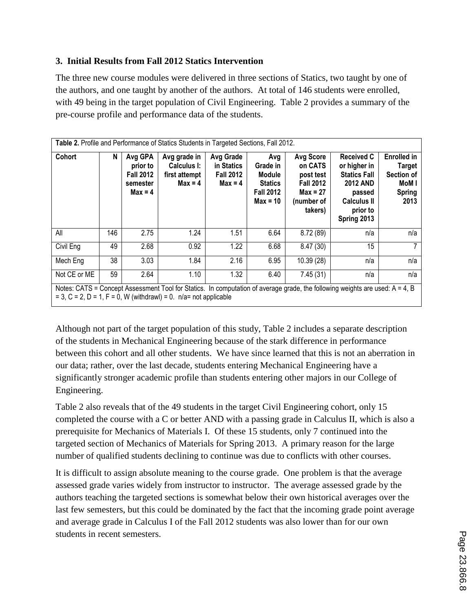### **3. Initial Results from Fall 2012 Statics Intervention**

The three new course modules were delivered in three sections of Statics, two taught by one of the authors, and one taught by another of the authors. At total of 146 students were enrolled, with 49 being in the target population of Civil Engineering. Table 2 provides a summary of the pre-course profile and performance data of the students.

| Table 2. Profile and Performance of Statics Students in Targeted Sections, Fall 2012.                                                                                                               |     |                                                                  |                                                           |                                                          |                                                                               |                                                                                                     |                                                                                                                                        |                                                                                     |  |  |
|-----------------------------------------------------------------------------------------------------------------------------------------------------------------------------------------------------|-----|------------------------------------------------------------------|-----------------------------------------------------------|----------------------------------------------------------|-------------------------------------------------------------------------------|-----------------------------------------------------------------------------------------------------|----------------------------------------------------------------------------------------------------------------------------------------|-------------------------------------------------------------------------------------|--|--|
| Cohort                                                                                                                                                                                              | N   | Avg GPA<br>prior to<br><b>Fall 2012</b><br>semester<br>$Max = 4$ | Avg grade in<br>Calculus I:<br>first attempt<br>$Max = 4$ | Avg Grade<br>in Statics<br><b>Fall 2012</b><br>$Max = 4$ | Avg<br>Grade in<br>Module<br><b>Statics</b><br><b>Fall 2012</b><br>$Max = 10$ | <b>Avg Score</b><br>on CATS<br>post test<br><b>Fall 2012</b><br>$Max = 27$<br>(number of<br>takers) | <b>Received C</b><br>or higher in<br><b>Statics Fall</b><br><b>2012 AND</b><br>passed<br><b>Calculus II</b><br>prior to<br>Spring 2013 | <b>Enrolled in</b><br><b>Target</b><br>Section of<br>MoM I<br><b>Spring</b><br>2013 |  |  |
| All                                                                                                                                                                                                 | 146 | 2.75                                                             | 1.24                                                      | 1.51                                                     | 6.64                                                                          | 8.72(89)                                                                                            | n/a                                                                                                                                    | n/a                                                                                 |  |  |
| Civil Eng                                                                                                                                                                                           | 49  | 2.68                                                             | 0.92                                                      | 1.22                                                     | 6.68                                                                          | 8.47(30)                                                                                            | 15                                                                                                                                     |                                                                                     |  |  |
| Mech Eng                                                                                                                                                                                            | 38  | 3.03                                                             | 1.84                                                      | 2.16                                                     | 6.95                                                                          | 10.39 (28)                                                                                          | n/a                                                                                                                                    | n/a                                                                                 |  |  |
| Not CE or ME                                                                                                                                                                                        | 59  | 2.64                                                             | 1.10                                                      | 1.32                                                     | 6.40                                                                          | 7.45(31)                                                                                            | n/a                                                                                                                                    | n/a                                                                                 |  |  |
| Notes: CATS = Concept Assessment Tool for Statics. In computation of average grade, the following weights are used: A = 4, B<br>$= 3$ , C = 2, D = 1, F = 0, W (withdrawl) = 0. n/a= not applicable |     |                                                                  |                                                           |                                                          |                                                                               |                                                                                                     |                                                                                                                                        |                                                                                     |  |  |

Although not part of the target population of this study, Table 2 includes a separate description of the students in Mechanical Engineering because of the stark difference in performance between this cohort and all other students. We have since learned that this is not an aberration in our data; rather, over the last decade, students entering Mechanical Engineering have a significantly stronger academic profile than students entering other majors in our College of Engineering.

Table 2 also reveals that of the 49 students in the target Civil Engineering cohort, only 15 completed the course with a C or better AND with a passing grade in Calculus II, which is also a prerequisite for Mechanics of Materials I. Of these 15 students, only 7 continued into the targeted section of Mechanics of Materials for Spring 2013. A primary reason for the large number of qualified students declining to continue was due to conflicts with other courses.

It is difficult to assign absolute meaning to the course grade. One problem is that the average assessed grade varies widely from instructor to instructor. The average assessed grade by the authors teaching the targeted sections is somewhat below their own historical averages over the last few semesters, but this could be dominated by the fact that the incoming grade point average and average grade in Calculus I of the Fall 2012 students was also lower than for our own students in recent semesters.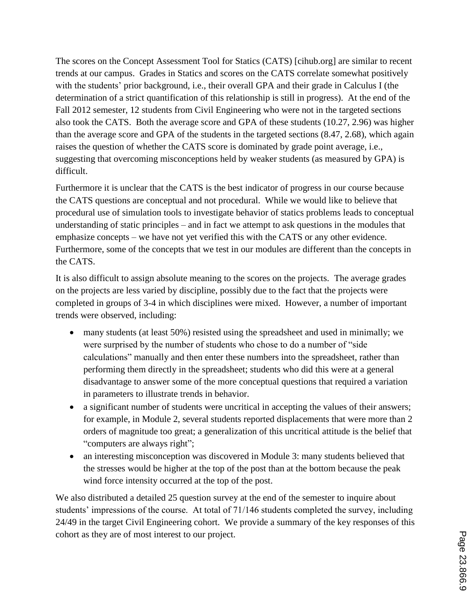The scores on the Concept Assessment Tool for Statics (CATS) [cihub.org] are similar to recent trends at our campus. Grades in Statics and scores on the CATS correlate somewhat positively with the students' prior background, i.e., their overall GPA and their grade in Calculus I (the determination of a strict quantification of this relationship is still in progress). At the end of the Fall 2012 semester, 12 students from Civil Engineering who were not in the targeted sections also took the CATS. Both the average score and GPA of these students (10.27, 2.96) was higher than the average score and GPA of the students in the targeted sections (8.47, 2.68), which again raises the question of whether the CATS score is dominated by grade point average, i.e., suggesting that overcoming misconceptions held by weaker students (as measured by GPA) is difficult.

Furthermore it is unclear that the CATS is the best indicator of progress in our course because the CATS questions are conceptual and not procedural. While we would like to believe that procedural use of simulation tools to investigate behavior of statics problems leads to conceptual understanding of static principles – and in fact we attempt to ask questions in the modules that emphasize concepts – we have not yet verified this with the CATS or any other evidence. Furthermore, some of the concepts that we test in our modules are different than the concepts in the CATS.

It is also difficult to assign absolute meaning to the scores on the projects. The average grades on the projects are less varied by discipline, possibly due to the fact that the projects were completed in groups of 3-4 in which disciplines were mixed. However, a number of important trends were observed, including:

- many students (at least 50%) resisted using the spreadsheet and used in minimally; we were surprised by the number of students who chose to do a number of "side calculations" manually and then enter these numbers into the spreadsheet, rather than performing them directly in the spreadsheet; students who did this were at a general disadvantage to answer some of the more conceptual questions that required a variation in parameters to illustrate trends in behavior.
- a significant number of students were uncritical in accepting the values of their answers; for example, in Module 2, several students reported displacements that were more than 2 orders of magnitude too great; a generalization of this uncritical attitude is the belief that "computers are always right";
- an interesting misconception was discovered in Module 3: many students believed that the stresses would be higher at the top of the post than at the bottom because the peak wind force intensity occurred at the top of the post.

We also distributed a detailed 25 question survey at the end of the semester to inquire about students' impressions of the course. At total of 71/146 students completed the survey, including 24/49 in the target Civil Engineering cohort. We provide a summary of the key responses of this cohort as they are of most interest to our project.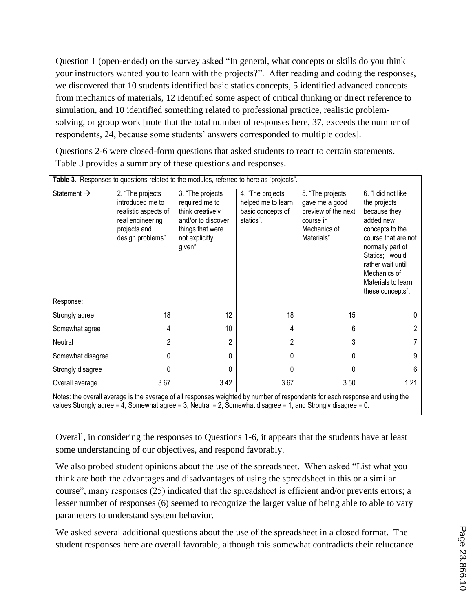Question 1 (open-ended) on the survey asked "In general, what concepts or skills do you think your instructors wanted you to learn with the projects?". After reading and coding the responses, we discovered that 10 students identified basic statics concepts, 5 identified advanced concepts from mechanics of materials, 12 identified some aspect of critical thinking or direct reference to simulation, and 10 identified something related to professional practice, realistic problemsolving, or group work [note that the total number of responses here, 37, exceeds the number of respondents, 24, because some students' answers corresponded to multiple codes].

Questions 2-6 were closed-form questions that asked students to react to certain statements. Table 3 provides a summary of these questions and responses.

| Table 3. Responses to questions related to the modules, referred to here as "projects". |                                                                                                                                                                                                                                               |                                                                                                                               |                                                                          |                                                                                                       |                                                                                                                                                                                                                                  |  |  |  |  |
|-----------------------------------------------------------------------------------------|-----------------------------------------------------------------------------------------------------------------------------------------------------------------------------------------------------------------------------------------------|-------------------------------------------------------------------------------------------------------------------------------|--------------------------------------------------------------------------|-------------------------------------------------------------------------------------------------------|----------------------------------------------------------------------------------------------------------------------------------------------------------------------------------------------------------------------------------|--|--|--|--|
| Statement $\rightarrow$                                                                 | 2. "The projects<br>introduced me to<br>realistic aspects of<br>real engineering<br>projects and<br>design problems".                                                                                                                         | 3. "The projects<br>required me to<br>think creatively<br>and/or to discover<br>things that were<br>not explicitly<br>given". | 4. "The projects<br>helped me to learn<br>basic concepts of<br>statics". | 5. "The projects<br>gave me a good<br>preview of the next<br>course in<br>Mechanics of<br>Materials". | 6. "I did not like<br>the projects<br>because they<br>added new<br>concepts to the<br>course that are not<br>normally part of<br>Statics; I would<br>rather wait until<br>Mechanics of<br>Materials to learn<br>these concepts". |  |  |  |  |
| Response:                                                                               |                                                                                                                                                                                                                                               |                                                                                                                               |                                                                          |                                                                                                       |                                                                                                                                                                                                                                  |  |  |  |  |
| Strongly agree                                                                          | 18                                                                                                                                                                                                                                            | 12                                                                                                                            | 18                                                                       | 15                                                                                                    | $\Omega$                                                                                                                                                                                                                         |  |  |  |  |
| Somewhat agree                                                                          | 4                                                                                                                                                                                                                                             | 10                                                                                                                            | 4                                                                        | 6                                                                                                     | 2                                                                                                                                                                                                                                |  |  |  |  |
| Neutral                                                                                 | 2                                                                                                                                                                                                                                             | 2                                                                                                                             | 2                                                                        | 3                                                                                                     |                                                                                                                                                                                                                                  |  |  |  |  |
| Somewhat disagree                                                                       | 0                                                                                                                                                                                                                                             | 0                                                                                                                             | $\Omega$                                                                 | 0                                                                                                     | 9                                                                                                                                                                                                                                |  |  |  |  |
| Strongly disagree                                                                       | 0                                                                                                                                                                                                                                             | 0                                                                                                                             | 0                                                                        | 0                                                                                                     | 6                                                                                                                                                                                                                                |  |  |  |  |
| Overall average                                                                         | 3.67                                                                                                                                                                                                                                          | 3.42                                                                                                                          | 3.67                                                                     | 3.50                                                                                                  | 1.21                                                                                                                                                                                                                             |  |  |  |  |
|                                                                                         | Notes: the overall average is the average of all responses weighted by number of respondents for each response and using the<br>values Strongly agree = 4, Somewhat agree = 3, Neutral = 2, Somewhat disagree = 1, and Strongly disagree = 0. |                                                                                                                               |                                                                          |                                                                                                       |                                                                                                                                                                                                                                  |  |  |  |  |

Overall, in considering the responses to Questions 1-6, it appears that the students have at least some understanding of our objectives, and respond favorably.

We also probed student opinions about the use of the spreadsheet. When asked "List what you think are both the advantages and disadvantages of using the spreadsheet in this or a similar course", many responses (25) indicated that the spreadsheet is efficient and/or prevents errors; a lesser number of responses (6) seemed to recognize the larger value of being able to able to vary parameters to understand system behavior.

We asked several additional questions about the use of the spreadsheet in a closed format. The student responses here are overall favorable, although this somewhat contradicts their reluctance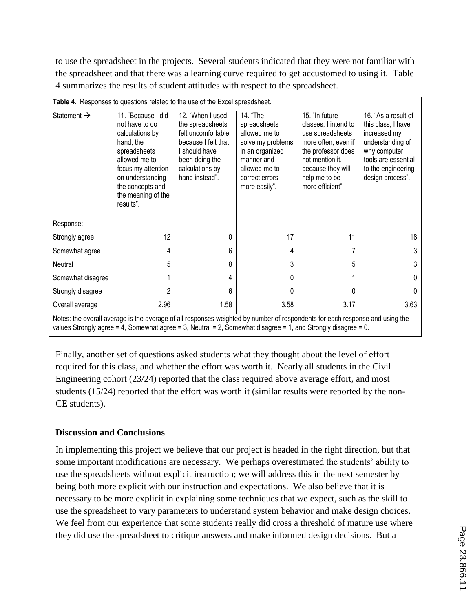to use the spreadsheet in the projects. Several students indicated that they were not familiar with the spreadsheet and that there was a learning curve required to get accustomed to using it. Table 4 summarizes the results of student attitudes with respect to the spreadsheet.

| Table 4. Responses to questions related to the use of the Excel spreadsheet. |                                                                                                                                                                                                                                               |                                                                                                                                                           |                                                                                                                                                     |                                                                                                                                                                                      |                                                                                                                                                                |  |  |  |  |
|------------------------------------------------------------------------------|-----------------------------------------------------------------------------------------------------------------------------------------------------------------------------------------------------------------------------------------------|-----------------------------------------------------------------------------------------------------------------------------------------------------------|-----------------------------------------------------------------------------------------------------------------------------------------------------|--------------------------------------------------------------------------------------------------------------------------------------------------------------------------------------|----------------------------------------------------------------------------------------------------------------------------------------------------------------|--|--|--|--|
| Statement $\rightarrow$                                                      | 11. "Because I did<br>not have to do<br>calculations by<br>hand, the<br>spreadsheets<br>allowed me to<br>focus my attention<br>on understanding<br>the concepts and<br>the meaning of the<br>results".                                        | 12. "When I used<br>the spreadsheets I<br>felt uncomfortable<br>because I felt that<br>should have<br>been doing the<br>calculations by<br>hand instead". | 14. "The<br>spreadsheets<br>allowed me to<br>solve my problems<br>in an organized<br>manner and<br>allowed me to<br>correct errors<br>more easily". | 15. "In future<br>classes, I intend to<br>use spreadsheets<br>more often, even if<br>the professor does<br>not mention it,<br>because they will<br>help me to be<br>more efficient". | 16. "As a result of<br>this class, I have<br>increased my<br>understanding of<br>why computer<br>tools are essential<br>to the engineering<br>design process". |  |  |  |  |
| Response:                                                                    |                                                                                                                                                                                                                                               |                                                                                                                                                           |                                                                                                                                                     |                                                                                                                                                                                      |                                                                                                                                                                |  |  |  |  |
| Strongly agree                                                               | 12                                                                                                                                                                                                                                            | 0                                                                                                                                                         | 17                                                                                                                                                  | 11                                                                                                                                                                                   | 18                                                                                                                                                             |  |  |  |  |
| Somewhat agree                                                               | 4                                                                                                                                                                                                                                             | 6                                                                                                                                                         | 4                                                                                                                                                   |                                                                                                                                                                                      | 3                                                                                                                                                              |  |  |  |  |
| Neutral                                                                      | 5                                                                                                                                                                                                                                             | 8                                                                                                                                                         | 3                                                                                                                                                   | 5                                                                                                                                                                                    | 3                                                                                                                                                              |  |  |  |  |
| Somewhat disagree                                                            |                                                                                                                                                                                                                                               | 4                                                                                                                                                         | 0                                                                                                                                                   |                                                                                                                                                                                      | 0                                                                                                                                                              |  |  |  |  |
| Strongly disagree                                                            | 2                                                                                                                                                                                                                                             | 6                                                                                                                                                         | U                                                                                                                                                   | 0                                                                                                                                                                                    | 0                                                                                                                                                              |  |  |  |  |
| Overall average                                                              | 2.96                                                                                                                                                                                                                                          | 1.58                                                                                                                                                      | 3.58                                                                                                                                                | 3.17                                                                                                                                                                                 | 3.63                                                                                                                                                           |  |  |  |  |
|                                                                              | Notes: the overall average is the average of all responses weighted by number of respondents for each response and using the<br>values Strongly agree = 4, Somewhat agree = 3, Neutral = 2, Somewhat disagree = 1, and Strongly disagree = 0. |                                                                                                                                                           |                                                                                                                                                     |                                                                                                                                                                                      |                                                                                                                                                                |  |  |  |  |

Finally, another set of questions asked students what they thought about the level of effort required for this class, and whether the effort was worth it. Nearly all students in the Civil Engineering cohort (23/24) reported that the class required above average effort, and most students (15/24) reported that the effort was worth it (similar results were reported by the non-CE students).

### **Discussion and Conclusions**

In implementing this project we believe that our project is headed in the right direction, but that some important modifications are necessary. We perhaps overestimated the students' ability to use the spreadsheets without explicit instruction; we will address this in the next semester by being both more explicit with our instruction and expectations. We also believe that it is necessary to be more explicit in explaining some techniques that we expect, such as the skill to use the spreadsheet to vary parameters to understand system behavior and make design choices. We feel from our experience that some students really did cross a threshold of mature use where they did use the spreadsheet to critique answers and make informed design decisions. But a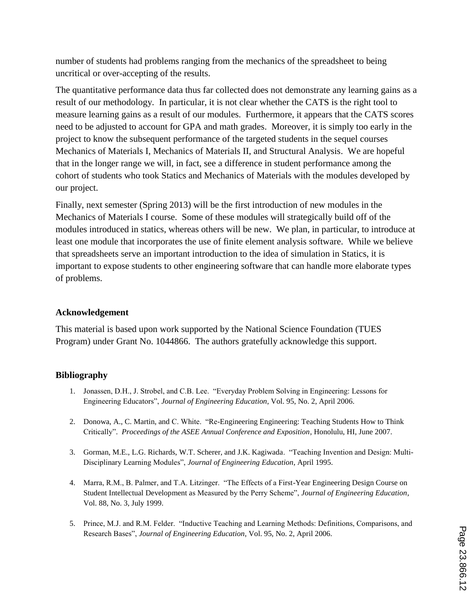number of students had problems ranging from the mechanics of the spreadsheet to being uncritical or over-accepting of the results.

The quantitative performance data thus far collected does not demonstrate any learning gains as a result of our methodology. In particular, it is not clear whether the CATS is the right tool to measure learning gains as a result of our modules. Furthermore, it appears that the CATS scores need to be adjusted to account for GPA and math grades. Moreover, it is simply too early in the project to know the subsequent performance of the targeted students in the sequel courses Mechanics of Materials I, Mechanics of Materials II, and Structural Analysis. We are hopeful that in the longer range we will, in fact, see a difference in student performance among the cohort of students who took Statics and Mechanics of Materials with the modules developed by our project.

Finally, next semester (Spring 2013) will be the first introduction of new modules in the Mechanics of Materials I course. Some of these modules will strategically build off of the modules introduced in statics, whereas others will be new. We plan, in particular, to introduce at least one module that incorporates the use of finite element analysis software. While we believe that spreadsheets serve an important introduction to the idea of simulation in Statics, it is important to expose students to other engineering software that can handle more elaborate types of problems.

### **Acknowledgement**

This material is based upon work supported by the National Science Foundation (TUES Program) under Grant No. 1044866. The authors gratefully acknowledge this support.

### **Bibliography**

- 1. Jonassen, D.H., J. Strobel, and C.B. Lee. "Everyday Problem Solving in Engineering: Lessons for Engineering Educators", *Journal of Engineering Education*, Vol. 95, No. 2, April 2006.
- 2. Donowa, A., C. Martin, and C. White. "Re-Engineering Engineering: Teaching Students How to Think Critically". *Proceedings of the ASEE Annual Conference and Exposition*, Honolulu, HI, June 2007.
- 3. Gorman, M.E., L.G. Richards, W.T. Scherer, and J.K. Kagiwada. "Teaching Invention and Design: Multi-Disciplinary Learning Modules", *Journal of Engineering Education*, April 1995.
- 4. Marra, R.M., B. Palmer, and T.A. Litzinger. "The Effects of a First-Year Engineering Design Course on Student Intellectual Development as Measured by the Perry Scheme", *Journal of Engineering Education*, Vol. 88, No. 3, July 1999.
- 5. Prince, M.J. and R.M. Felder. "Inductive Teaching and Learning Methods: Definitions, Comparisons, and Research Bases", *Journal of Engineering Education*, Vol. 95, No. 2, April 2006.